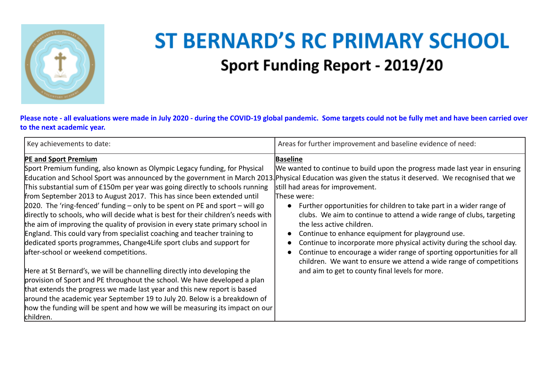

## **ST BERNARD'S RC PRIMARY SCHOOL Sport Funding Report - 2019/20**

**Please note - all evaluations were made in July 2020 - during the COVID-19 global pandemic. Some targets could not be fully met and have been carried over to the next academic year.**

| Key achievements to date:                                                                                                                                                                                                                                                                                                                                                                                                                                                                                                                                                                                                                                                                                                                                                                                                                                                                                                                                                                                                                                                                                                                                                                                                                                                                       | Areas for further improvement and baseline evidence of need:                                                                                                                                                                                                                                                                                                                                                                                                                                                                                                                                                                                                               |
|-------------------------------------------------------------------------------------------------------------------------------------------------------------------------------------------------------------------------------------------------------------------------------------------------------------------------------------------------------------------------------------------------------------------------------------------------------------------------------------------------------------------------------------------------------------------------------------------------------------------------------------------------------------------------------------------------------------------------------------------------------------------------------------------------------------------------------------------------------------------------------------------------------------------------------------------------------------------------------------------------------------------------------------------------------------------------------------------------------------------------------------------------------------------------------------------------------------------------------------------------------------------------------------------------|----------------------------------------------------------------------------------------------------------------------------------------------------------------------------------------------------------------------------------------------------------------------------------------------------------------------------------------------------------------------------------------------------------------------------------------------------------------------------------------------------------------------------------------------------------------------------------------------------------------------------------------------------------------------------|
| <b>PE and Sport Premium</b><br>Sport Premium funding, also known as Olympic Legacy funding, for Physical<br>Education and School Sport was announced by the government in March 2013. Physical Education was given the status it deserved. We recognised that we<br>This substantial sum of £150m per year was going directly to schools running<br>from September 2013 to August 2017. This has since been extended until<br>2020. The 'ring-fenced' funding – only to be spent on PE and sport – will go<br>directly to schools, who will decide what is best for their children's needs with<br>the aim of improving the quality of provision in every state primary school in<br>England. This could vary from specialist coaching and teacher training to<br>dedicated sports programmes, Change4Life sport clubs and support for<br>after-school or weekend competitions.<br>Here at St Bernard's, we will be channelling directly into developing the<br>provision of Sport and PE throughout the school. We have developed a plan<br>that extends the progress we made last year and this new report is based<br>around the academic year September 19 to July 20. Below is a breakdown of<br>how the funding will be spent and how we will be measuring its impact on our<br>children. | <b>Baseline</b><br>We wanted to continue to build upon the progress made last year in ensuring<br>still had areas for improvement.<br>These were:<br>Further opportunities for children to take part in a wider range of<br>$\bullet$<br>clubs. We aim to continue to attend a wide range of clubs, targeting<br>the less active children.<br>Continue to enhance equipment for playground use.<br>Continue to incorporate more physical activity during the school day.<br>Continue to encourage a wider range of sporting opportunities for all<br>children. We want to ensure we attend a wide range of competitions<br>and aim to get to county final levels for more. |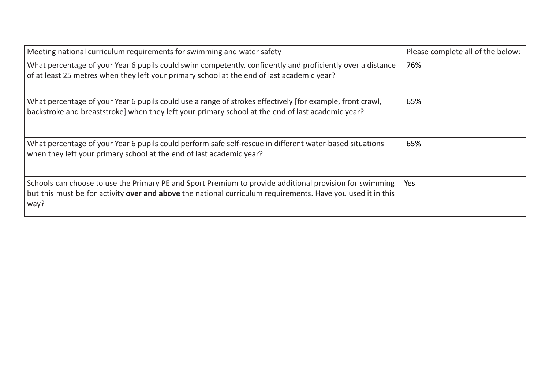| Meeting national curriculum requirements for swimming and water safety                                                                                                                                                         | Please complete all of the below: |
|--------------------------------------------------------------------------------------------------------------------------------------------------------------------------------------------------------------------------------|-----------------------------------|
| What percentage of your Year 6 pupils could swim competently, confidently and proficiently over a distance<br>of at least 25 metres when they left your primary school at the end of last academic year?                       | 76%                               |
| What percentage of your Year 6 pupils could use a range of strokes effectively [for example, front crawl,<br>backstroke and breaststroke] when they left your primary school at the end of last academic year?                 | 65%                               |
| What percentage of your Year 6 pupils could perform safe self-rescue in different water-based situations<br>when they left your primary school at the end of last academic year?                                               | 65%                               |
| Schools can choose to use the Primary PE and Sport Premium to provide additional provision for swimming<br>but this must be for activity over and above the national curriculum requirements. Have you used it in this<br>way? | <b>Yes</b>                        |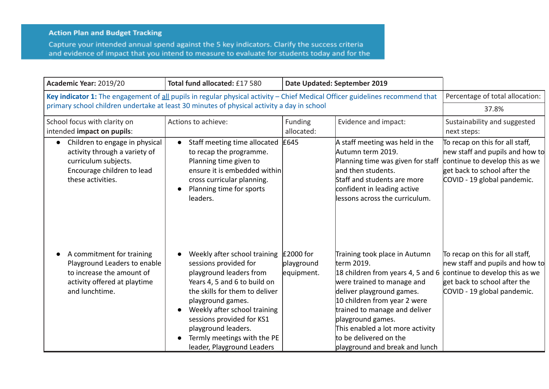## **Action Plan and Budget Tracking**

Capture your intended annual spend against the 5 key indicators. Clarify the success criteria and evidence of impact that you intend to measure to evaluate for students today and for the

| Academic Year: 2019/20                                                                                                                                  | Total fund allocated: £17 580                                                                                                                                                                                                                                                                                            | Date Updated: September 2019          |                                                                                                                                                                                                                                                                                                                                    |                                                                                                                                                                     |
|---------------------------------------------------------------------------------------------------------------------------------------------------------|--------------------------------------------------------------------------------------------------------------------------------------------------------------------------------------------------------------------------------------------------------------------------------------------------------------------------|---------------------------------------|------------------------------------------------------------------------------------------------------------------------------------------------------------------------------------------------------------------------------------------------------------------------------------------------------------------------------------|---------------------------------------------------------------------------------------------------------------------------------------------------------------------|
| Key indicator 1: The engagement of all pupils in regular physical activity - Chief Medical Officer guidelines recommend that                            |                                                                                                                                                                                                                                                                                                                          |                                       | Percentage of total allocation:                                                                                                                                                                                                                                                                                                    |                                                                                                                                                                     |
| primary school children undertake at least 30 minutes of physical activity a day in school                                                              |                                                                                                                                                                                                                                                                                                                          |                                       |                                                                                                                                                                                                                                                                                                                                    | 37.8%                                                                                                                                                               |
| School focus with clarity on<br>intended impact on pupils:                                                                                              | Actions to achieve:                                                                                                                                                                                                                                                                                                      | Funding<br>allocated:                 | Evidence and impact:                                                                                                                                                                                                                                                                                                               | Sustainability and suggested<br>next steps:                                                                                                                         |
| Children to engage in physical<br>$\bullet$<br>activity through a variety of<br>curriculum subjects.<br>Encourage children to lead<br>these activities. | Staff meeting time allocated<br>$\bullet$<br>to recap the programme.<br>Planning time given to<br>ensure it is embedded within<br>cross curricular planning.<br>Planning time for sports<br>leaders.                                                                                                                     | £645                                  | A staff meeting was held in the<br>Autumn term 2019.<br>Planning time was given for staff<br>and then students.<br>Staff and students are more<br>confident in leading active<br>lessons across the curriculum.                                                                                                                    | To recap on this for all staff,<br>new staff and pupils and how to<br>continue to develop this as we<br>get back to school after the<br>COVID - 19 global pandemic. |
| A commitment for training<br>Playground Leaders to enable<br>to increase the amount of<br>activity offered at playtime<br>and lunchtime.                | Weekly after school training<br>sessions provided for<br>playground leaders from<br>Years 4, 5 and 6 to build on<br>the skills for them to deliver<br>playground games.<br>Weekly after school training<br>sessions provided for KS1<br>playground leaders.<br>Termly meetings with the PE<br>leader, Playground Leaders | £2000 for<br>playground<br>equipment. | Training took place in Autumn<br>lterm 2019.<br>18 children from years 4, 5 and 6<br>were trained to manage and<br>deliver playground games.<br>10 children from year 2 were<br>trained to manage and deliver<br>playground games.<br>This enabled a lot more activity<br>to be delivered on the<br>playground and break and lunch | To recap on this for all staff,<br>new staff and pupils and how to<br>continue to develop this as we<br>get back to school after the<br>COVID - 19 global pandemic. |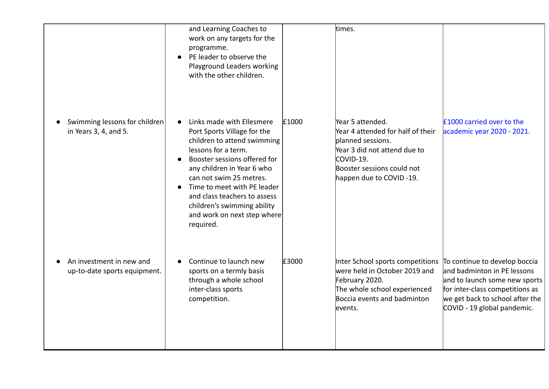|                                                          | and Learning Coaches to<br>work on any targets for the<br>programme.<br>PE leader to observe the<br>$\bullet$<br>Playground Leaders working<br>with the other children.                                                                                                                                                                           |       | times.                                                                                                                                                                           |                                                                                                                                                                                                    |
|----------------------------------------------------------|---------------------------------------------------------------------------------------------------------------------------------------------------------------------------------------------------------------------------------------------------------------------------------------------------------------------------------------------------|-------|----------------------------------------------------------------------------------------------------------------------------------------------------------------------------------|----------------------------------------------------------------------------------------------------------------------------------------------------------------------------------------------------|
| Swimming lessons for children<br>in Years 3, 4, and 5.   | Links made with Ellesmere<br>Port Sports Village for the<br>children to attend swimming<br>lessons for a term.<br>Booster sessions offered for<br>any children in Year 6 who<br>can not swim 25 metres.<br>Time to meet with PE leader<br>and class teachers to assess<br>children's swimming ability<br>and work on next step where<br>required. | £1000 | Year 5 attended.<br>Year 4 attended for half of their<br>planned sessions.<br>Year 3 did not attend due to<br>COVID-19.<br>Booster sessions could not<br>happen due to COVID-19. | £1000 carried over to the<br>academic year 2020 - 2021.                                                                                                                                            |
| An investment in new and<br>up-to-date sports equipment. | Continue to launch new<br>sports on a termly basis<br>through a whole school<br>inter-class sports<br>competition.                                                                                                                                                                                                                                | £3000 | Inter School sports competitions<br>were held in October 2019 and<br>February 2020.<br>The whole school experienced<br>Boccia events and badminton<br>events.                    | To continue to develop boccia<br>and badminton in PE lessons<br>and to launch some new sports<br>for inter-class competitions as<br>we get back to school after the<br>COVID - 19 global pandemic. |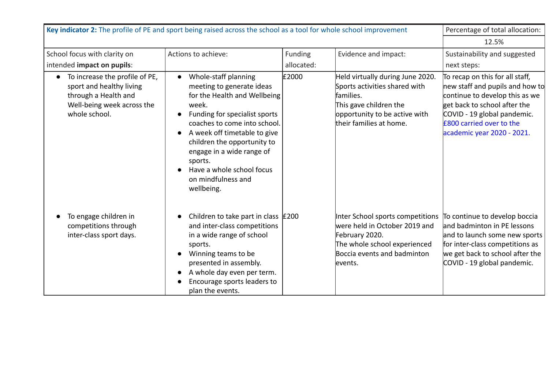| Key indicator 2: The profile of PE and sport being raised across the school as a tool for whole school improvement                |                                                                                                                                                                                                                                                                                                                                     |                       |                                                                                                                                                                                               | Percentage of total allocation:                                                                                                                                                                                               |
|-----------------------------------------------------------------------------------------------------------------------------------|-------------------------------------------------------------------------------------------------------------------------------------------------------------------------------------------------------------------------------------------------------------------------------------------------------------------------------------|-----------------------|-----------------------------------------------------------------------------------------------------------------------------------------------------------------------------------------------|-------------------------------------------------------------------------------------------------------------------------------------------------------------------------------------------------------------------------------|
|                                                                                                                                   | 12.5%                                                                                                                                                                                                                                                                                                                               |                       |                                                                                                                                                                                               |                                                                                                                                                                                                                               |
| School focus with clarity on<br>intended impact on pupils:                                                                        | Actions to achieve:                                                                                                                                                                                                                                                                                                                 | Funding<br>allocated: | Evidence and impact:                                                                                                                                                                          | Sustainability and suggested<br>next steps:                                                                                                                                                                                   |
| To increase the profile of PE,<br>sport and healthy living<br>through a Health and<br>Well-being week across the<br>whole school. | Whole-staff planning<br>meeting to generate ideas<br>for the Health and Wellbeing<br>week.<br>Funding for specialist sports<br>coaches to come into school.<br>A week off timetable to give<br>children the opportunity to<br>engage in a wide range of<br>sports.<br>Have a whole school focus<br>on mindfulness and<br>wellbeing. | £2000                 | Held virtually during June 2020.<br>Sports activities shared with<br>families.<br>This gave children the<br>opportunity to be active with<br>their families at home.                          | To recap on this for all staff,<br>new staff and pupils and how to<br>continue to develop this as we<br>get back to school after the<br>COVID - 19 global pandemic.<br>£800 carried over to the<br>academic year 2020 - 2021. |
| To engage children in<br>competitions through<br>inter-class sport days.                                                          | Children to take part in class $\vert$ £200<br>and inter-class competitions<br>in a wide range of school<br>sports.<br>Winning teams to be<br>presented in assembly.<br>A whole day even per term.<br>Encourage sports leaders to<br>plan the events.                                                                               |                       | Inter School sports competitions To continue to develop boccia<br>lwere held in October 2019 and<br>February 2020.<br>The whole school experienced<br>Boccia events and badminton<br>levents. | land badminton in PE lessons<br>and to launch some new sports<br>for inter-class competitions as<br>we get back to school after the<br>COVID - 19 global pandemic.                                                            |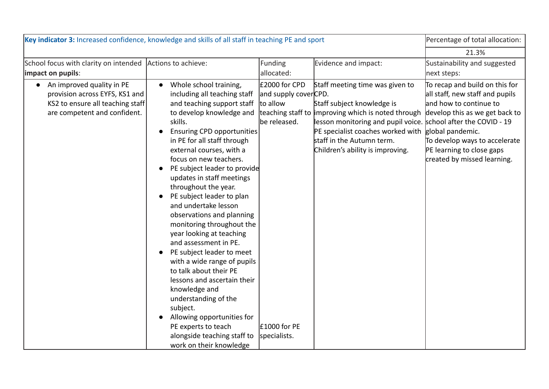| Key indicator 3: Increased confidence, knowledge and skills of all staff in teaching PE and sport                                 |                                                                                                                                                                                                                                                                                                                                                                                                                                                                                                                                                                                                                                                                                                                                                                                                                                                |                                                                                                     | Percentage of total allocation:                                                                                                                                                                                                                                                                              |                                                                                                                                                                                                                            |
|-----------------------------------------------------------------------------------------------------------------------------------|------------------------------------------------------------------------------------------------------------------------------------------------------------------------------------------------------------------------------------------------------------------------------------------------------------------------------------------------------------------------------------------------------------------------------------------------------------------------------------------------------------------------------------------------------------------------------------------------------------------------------------------------------------------------------------------------------------------------------------------------------------------------------------------------------------------------------------------------|-----------------------------------------------------------------------------------------------------|--------------------------------------------------------------------------------------------------------------------------------------------------------------------------------------------------------------------------------------------------------------------------------------------------------------|----------------------------------------------------------------------------------------------------------------------------------------------------------------------------------------------------------------------------|
|                                                                                                                                   |                                                                                                                                                                                                                                                                                                                                                                                                                                                                                                                                                                                                                                                                                                                                                                                                                                                |                                                                                                     |                                                                                                                                                                                                                                                                                                              | 21.3%                                                                                                                                                                                                                      |
| School focus with clarity on intended Actions to achieve:<br>impact on pupils:                                                    |                                                                                                                                                                                                                                                                                                                                                                                                                                                                                                                                                                                                                                                                                                                                                                                                                                                | Funding<br>allocated:                                                                               | Evidence and impact:                                                                                                                                                                                                                                                                                         | Sustainability and suggested<br>next steps:                                                                                                                                                                                |
| • An improved quality in PE<br>provision across EYFS, KS1 and<br>KS2 to ensure all teaching staff<br>are competent and confident. | Whole school training,<br>$\bullet$<br>including all teaching staff<br>and teaching support staff<br>to develop knowledge and<br>skills.<br><b>Ensuring CPD opportunities</b><br>in PE for all staff through<br>external courses, with a<br>focus on new teachers.<br>PE subject leader to provide<br>$\bullet$<br>updates in staff meetings<br>throughout the year.<br>PE subject leader to plan<br>and undertake lesson<br>observations and planning<br>monitoring throughout the<br>year looking at teaching<br>and assessment in PE.<br>PE subject leader to meet<br>$\bullet$<br>with a wide range of pupils<br>to talk about their PE<br>lessons and ascertain their<br>knowledge and<br>understanding of the<br>subject.<br>Allowing opportunities for<br>PE experts to teach<br>alongside teaching staff to<br>work on their knowledge | £2000 for CPD<br>and supply coverCPD.<br>to allow<br>be released.<br>$E1000$ for PE<br>specialists. | Staff meeting time was given to<br>Staff subject knowledge is<br>teaching staff to improving which is noted through<br>lesson monitoring and pupil voice. School after the COVID - 19<br>PE specialist coaches worked with global pandemic.<br>staff in the Autumn term.<br>Children's ability is improving. | To recap and build on this for<br>all staff, new staff and pupils<br>and how to continue to<br>develop this as we get back to<br>To develop ways to accelerate<br>PE learning to close gaps<br>created by missed learning. |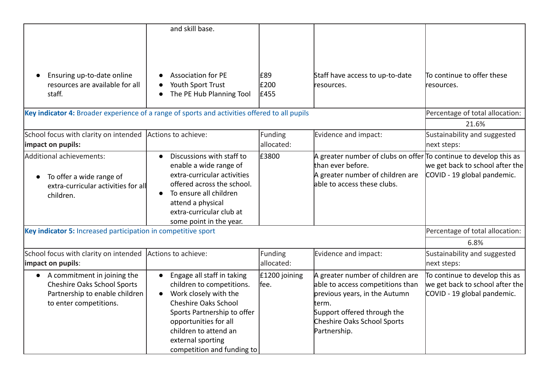|                                                                                                                                            | and skill base.                                                                                                                                                                                                                                                  |                        |                                                                                                                                                                                               |                                                                                                  |
|--------------------------------------------------------------------------------------------------------------------------------------------|------------------------------------------------------------------------------------------------------------------------------------------------------------------------------------------------------------------------------------------------------------------|------------------------|-----------------------------------------------------------------------------------------------------------------------------------------------------------------------------------------------|--------------------------------------------------------------------------------------------------|
|                                                                                                                                            |                                                                                                                                                                                                                                                                  |                        |                                                                                                                                                                                               |                                                                                                  |
| Ensuring up-to-date online<br>resources are available for all                                                                              | <b>Association for PE</b><br>Youth Sport Trust                                                                                                                                                                                                                   | £89<br>£200            | Staff have access to up-to-date<br>resources.                                                                                                                                                 | To continue to offer these<br>resources.                                                         |
| staff.                                                                                                                                     | The PE Hub Planning Tool                                                                                                                                                                                                                                         | £455                   |                                                                                                                                                                                               |                                                                                                  |
| Key indicator 4: Broader experience of a range of sports and activities offered to all pupils                                              |                                                                                                                                                                                                                                                                  |                        |                                                                                                                                                                                               | Percentage of total allocation:                                                                  |
|                                                                                                                                            |                                                                                                                                                                                                                                                                  |                        |                                                                                                                                                                                               | 21.6%                                                                                            |
| School focus with clarity on intended<br>impact on pupils:                                                                                 | Actions to achieve:                                                                                                                                                                                                                                              | Funding<br>allocated:  | Evidence and impact:                                                                                                                                                                          | Sustainability and suggested<br>next steps:                                                      |
| Additional achievements:<br>To offer a wide range of<br>extra-curricular activities for all<br>children.                                   | Discussions with staff to<br>enable a wide range of<br>extra-curricular activities<br>offered across the school.<br>To ensure all children<br>$\bullet$<br>attend a physical<br>extra-curricular club at<br>some point in the year.                              | £3800                  | A greater number of clubs on offer $\overline{p}$ continue to develop this as<br>lthan ever before.<br>A greater number of children are<br>lable to access these clubs.                       | we get back to school after the<br>COVID - 19 global pandemic.                                   |
| Key indicator 5: Increased participation in competitive sport                                                                              |                                                                                                                                                                                                                                                                  |                        |                                                                                                                                                                                               | Percentage of total allocation:                                                                  |
|                                                                                                                                            |                                                                                                                                                                                                                                                                  |                        |                                                                                                                                                                                               | 6.8%                                                                                             |
| School focus with clarity on intended<br>impact on pupils:                                                                                 | Actions to achieve:                                                                                                                                                                                                                                              | Funding<br>allocated:  | Evidence and impact:                                                                                                                                                                          | Sustainability and suggested<br>next steps:                                                      |
| A commitment in joining the<br>$\bullet$<br><b>Cheshire Oaks School Sports</b><br>Partnership to enable children<br>to enter competitions. | Engage all staff in taking<br>children to competitions.<br>Work closely with the<br>$\bullet$<br><b>Cheshire Oaks School</b><br>Sports Partnership to offer<br>opportunities for all<br>children to attend an<br>external sporting<br>competition and funding to | £1200 joining<br>lfee. | A greater number of children are<br>able to access competitions than<br>previous years, in the Autumn<br>lterm.<br>Support offered through the<br>Cheshire Oaks School Sports<br>Partnership. | To continue to develop this as<br>we get back to school after the<br>COVID - 19 global pandemic. |